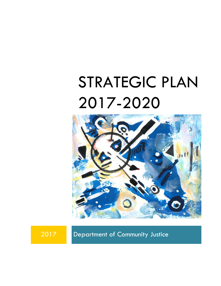# STRATEGIC PLAN 2017-2020



2017 Department of Community Justice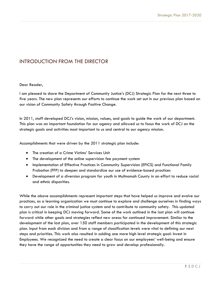#### INTRODUCTION FROM THE DIRECTOR

#### Dear Reader,

I am pleased to share the Department of Community Justice's (DCJ) Strategic Plan for the next three to five years. The new plan represents our efforts to continue the work set out in our previous plan based on our vision of Community Safety through Positive Change.

In 2011, staff developed DCJ's vision, mission, values, and goals to guide the work of our department. This plan was an important foundation for our agency and allowed us to focus the work of DCJ on the strategic goals and activities most important to us and central to our agency mission.

Accomplishments that were driven by the 2011 strategic plan include:

- The creation of a Crime Victims' Services Unit
- The development of the online supervision fee payment system
- Implementation of Effective Practices in Community Supervision (EPICS) and Functional Family Probation (FFP) to deepen and standardize our use of evidence-based practices
- Development of a diversion program for youth in Multnomah County in an effort to reduce racial and ethnic disparities.

While the above accomplishments represent important steps that have helped us improve and evolve our practices, as a learning organization we must continue to explore and challenge ourselves in finding ways to carry out our role in the criminal justice system and to contribute to community safety. This updated plan is critical in keeping DCJ moving forward. Some of the work outlined in the last plan will continue forward while other goals and strategies reflect new areas for continued improvement. Similar to the development of the last plan, over 150 staff members participated in the development of this strategic plan. Input from each division and from a range of classification levels were vital to defining our next steps and priorities. This work also resulted in adding one more high level strategic goal: Invest in Employees. We recognized the need to create a clear focus on our employees' well-being and ensure they have the range of opportunities they need to grow and develop professionally.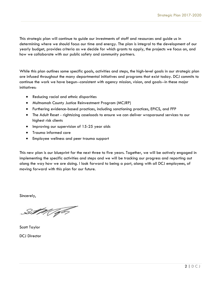This strategic plan will continue to guide our investments of staff and resources and guide us in determining where we should focus our time and energy. The plan is integral to the development of our yearly budget, provides criteria as we decide for which grants to apply, the projects we focus on, and how we collaborate with our public safety and community partners.

While this plan outlines some specific goals, activities and steps, the high-level goals in our strategic plan are infused throughout the many departmental initiatives and programs that exist today. DCJ commits to continue the work we have begun--consistent with agency mission, vision, and goals--in these major initiatives:

- Reducing racial and ethnic disparities
- Multnomah County Justice Reinvestment Program (MCJRP)
- Furthering evidence-based practices, including sanctioning practices, EPICS, and FFP
- The Adult Reset rightsizing caseloads to ensure we can deliver wraparound services to our highest risk clients
- Improving our supervision of 15-25 year olds
- Trauma informed care
- Employee wellness and peer trauma support

This new plan is our blueprint for the next three to five years. Together, we will be actively engaged in implementing the specific activities and steps and we will be tracking our progress and reporting out along the way how we are doing. I look forward to being a part, along with all DCJ employees, of moving forward with this plan for our future.

Sincerely,

Sut Major

Scott Taylor DCJ Director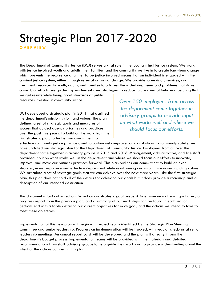### Strategic Plan 2017-2020 **O V E R V I E W**

The Department of Community Justice (DCJ) serves a vital role in the local criminal justice system. We work with justice involved youth and adults, their families, and the community we live in to create long-term change which prevents the recurrence of crime. To be justice involved means that an individual is engaged with the criminal justice system, either through referral or formal charge. We provide supervision, services, and treatment resources to youth, adults, and families to address the underlying issues and problems that drive crime. Our efforts are guided by evidence-based strategies to reduce future criminal behavior, assuring that

we get results while being good stewards of public resources invested in community justice.

DCJ developed a strategic plan in 2011 that clarified the department's mission, vision, and values. The plan defined a set of strategic goals and measures of success that guided agency priorities and practices over the past five years. To build on the work from the first strategic plan, to further our commitment to

*Over 150 employees from across the department came together in advisory groups to provide input on what works well and where we should focus our efforts.* 

effective community justice practices, and to continuously improve our contributions to community safety, we have updated our strategic plan for the Department of Community Justice. Employees from all over the department came together in advisory groups in 2015 and 2016. Management, administrative, and line staff provided input on what works well in the department and where we should focus our efforts to innovate, improve, and move our business practices forward. This plan outlines our commitment to build an even stronger, more responsive and effective department while re-affirming our vision, mission and guiding values. We articulate a set of strategic goals that we can achieve over the next three years. Like the first strategic plan, this plan does not hold all of the details for achieving our goals but it does provide a roadmap and a description of our intended destination.

This document is laid out in sections based on our strategic goal areas. A brief overview of each goal area, a progress report from the previous plan, and a summary of our next steps can be found in each section. Sections end with a table detailing our current objectives for each goal, and the actions we intend to take to meet these objectives.

Implementation of this new plan will begin with project teams identified by the Strategic Plan Steering Committee and senior leadership. Progress on implementation will be tracked, with regular check-ins at senior leadership meetings. An annual report card will be developed and the plan will directly inform the department's budget process. Implementation teams will be provided with the materials and detailed recommendations from staff advisory groups to help guide their work and to provide understanding about the intent of the actions outlined in this plan.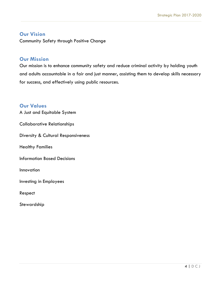#### **Our Vision**

Community Safety through Positive Change

#### **Our Mission**

Our mission is to enhance community safety and reduce criminal activity by holding youth and adults accountable in a fair and just manner, assisting them to develop skills necessary for success, and effectively using public resources.

#### **Our Values**

A Just and Equitable System

Collaborative Relationships

Diversity & Cultural Responsiveness

Healthy Families

Information Based Decisions

Innovation

Investing in Employees

Respect

Stewardship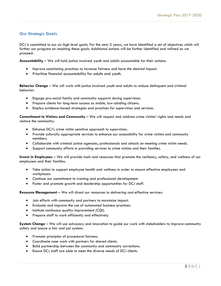#### **Our Strategic Goals**

DCJ is committed to our six high level goals. For the next 3 years, we have identified a set of objectives which will further our progress on reaching these goals. Additional actions will be further identified and refined as we proceed:

**Accountability** – We will hold justice involved youth and adults accountable for their actions:

- Improve sanctioning practices to increase fairness and have the desired impact.
- Prioritize financial accountability for adults and youth.

**Behavior Change** – We will work with justice involved youth and adults to reduce delinquent and criminal behavior:

- Engage pro-social family and community supports during supervision.
- Prepare clients for long-term success as stable, law-abiding citizens.
- Employ evidence-based strategies and practices for supervision and services.

**Commitment to Victims and Community** – We will respect and address crime victims' rights and needs and restore the community:

- Enhance DCJ's crime victim sensitive approach to supervision.
- Provide culturally appropriate services to enhance our accessibility for crime victims and community members.
- Collaborate with criminal justice agencies, professionals and schools on meeting crime victim needs.
- Support community efforts in providing services to crime victims and their families.

**Invest in Employees** – We will provide tools and resources that promote the resiliency, safety, and wellness of our employees and their families.

- Take action to support employee health and wellness in order to ensure effective employees and workplaces.
- Continue our commitment to training and professional development.
- Foster and promote growth and leadership opportunities for DCJ staff.

**Resource Management** – We will direct our resources to delivering cost-effective services:

- Join efforts with community and partners to maximize impact.
- Evaluate and improve the use of automated business practices.
- **•** Institute continuous quality improvement (CQI).
- Prepare staff to work efficiently and effectively.

**System Change** – We will use advocacy and innovation to guide our work with stakeholders to improve community safety and assure a fair and just system:

- Promote principles of procedural fairness.
- Coordinate case work with partners for shared clients.
- Build partnership between the community and community corrections.
- Ensure DCJ staff are able to meet the diverse needs of DCJ clients.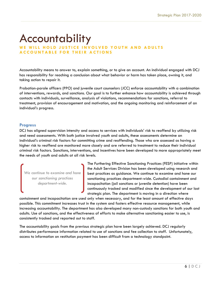# Accountability

#### WE WILL HOLD JUSTICE INVOLVED YOUTH AND ADULTS **A C C O U N T A B L E F O R T H E I R A C T I O N S**

Accountability means to answer to, explain something, or to give an account. An individual engaged with DCJ has responsibility for reaching a conclusion about what behavior or harm has taken place, owning it, and taking action to repair it.

Probation-parole officers (PPO) and juvenile court counselors (JCC) enforce accountability with a combination of interventions, rewards, and sanctions. Our goal is to further enhance how accountability is achieved through contacts with individuals, surveillance, analysis of violations, recommendations for sanctions, referral to treatment, provision of encouragement and motivation, and the ongoing monitoring and reinforcement of an individual's progress.

#### **Progress**

DCJ has aligned supervision intensity and access to services with individuals' risk to reoffend by utilizing risk and need assessments. With both justice involved youth and adults, these assessments determine an individual's criminal risk factors for committing crime and reoffending. Those who are assessed as having a higher risk to reoffend are monitored more closely and are referred to treatment to reduce their individual criminal risk factors. Sanctions, interventions, and incentives have been developed to more appropriately meet the needs of youth and adults at all risk levels.

*We continue to examine and hone our sanctioning practices department-wide.*

The Furthering Effective Sanctioning Practices (FESP) initiative within the Adult Services Division has been developed using research and best practices as guidance. We continue to examine and hone our sanctioning practices department-wide. Custodial containment and incapacitation (jail sanctions or juvenile detention) have been continuously tracked and modified since the development of our last strategic plan. The department is moving in a direction where

containment and incapacitation are used only when necessary, and for the least amount of effective days possible. This commitment increases trust in the system and fosters effective resource management, while increasing accountability. The department has also developed many non-custody sanctions for both youth and adults. Use of sanctions, and the effectiveness of efforts to make alternative sanctioning easier to use, is consistently tracked and reported out to staff.

The accountability goals from the previous strategic plan have been largely achieved. DCJ regularly distributes performance information related to use of sanctions and fee collection to staff. Unfortunately, access to information on restitution payment has been difficult from a technology standpoint.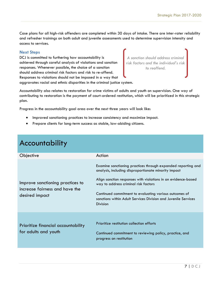Case plans for all high-risk offenders are completed within 30 days of intake. There are inter-rater reliability and refresher trainings on both adult and juvenile assessments used to determine supervision intensity and access to services.

#### **Next Steps**

DCJ is committed to furthering how accountability is achieved through careful analysis of violations and sanction responses. Whenever possible, the choice of a sanction should address criminal risk factors and risk to re-offend. Responses to violations should not be imposed in a way that aggravates racial and ethnic disparities in the criminal justice system.



Accountability also relates to restoration for crime victims of adults and youth on supervision. One way of contributing to restoration is the payment of court-ordered restitution, which will be prioritized in this strategic plan.

Progress in the accountability goal area over the next three years will look like:

- Improved sanctioning practices to increase consistency and maximize impact.
- Prepare clients for long-term success as stable, law-abiding citizens.

| Objective                                                                            | Action                                                                                                                                                                                                                                                                                                                                                                       |
|--------------------------------------------------------------------------------------|------------------------------------------------------------------------------------------------------------------------------------------------------------------------------------------------------------------------------------------------------------------------------------------------------------------------------------------------------------------------------|
| Improve sanctioning practices to<br>increase fairness and have the<br>desired impact | Examine sanctioning practices through expanded reporting and<br>analysis, including disproportionate minority impact<br>Align sanction responses with violations in an evidence-based<br>way to address criminal risk factors<br>Continued commitment to evaluating various outcomes of<br>sanctions within Adult Services Division and Juvenile Services<br><b>Division</b> |
| Prioritize financial accountability<br>for adults and youth                          | Prioritize restitution collection efforts<br>Continued commitment to reviewing policy, practice, and<br>progress on restitution                                                                                                                                                                                                                                              |

### Accountability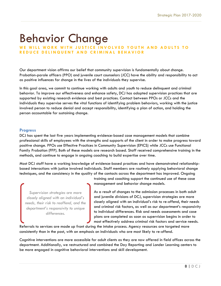# Behavior Change

#### WE WILL WORK WITH JUSTICE INVOLVED YOUTH AND ADULTS TO **R E D U C E D E L I N Q U E N T A N D C R I M I N A L B E H A V I O R**

Our department vision affirms our belief that community supervision is fundamentally about change. Probation-parole officers (PPO) and juvenile court counselors (JCC) have the ability and responsibility to act as positive influences for change in the lives of the individuals they supervise.

In this goal area, we commit to continue working with adults and youth to reduce delinquent and criminal behavior. To improve our effectiveness and enhance safety, DCJ has adopted supervision practices that are supported by existing research evidence and best practices. Contact between PPOs or JCCs and the individuals they supervise serves the vital functions of identifying problem behaviors, working with the justice involved person to reduce denial and accept responsibility, identifying a plan of action, and holding the person accountable for sustaining change.

#### **Progress**

DCJ has spent the last five years implementing evidence-based case management models that combine professional skills of employees with the strengths and supports of the client in order to make progress toward positive change. PPOs use Effective Practices in Community Supervision (EPICS) while JCCs use Functional Family Probation (FFP). Both of these models are research based. Staff received comprehensive training in the methods, and continue to engage in ongoing coaching to build expertise over time.

Most DCJ staff have a working knowledge of evidence-based practices and have demonstrated relationshipbased interactions with justice involved individuals. Staff members are routinely applying behavioral change techniques, and the consistency in the quality of the contacts across the department has improved. Ongoing

*Supervision strategies are more closely aligned with an individual's needs, their risk to reoffend, and the department's responsivity to unique differences.*

training and coaching support the continued use of these case management and behavior change models.

As a result of changes to the admission processes in both adult and juvenile divisions of DCJ, supervision strategies are more closely aligned with an individual's risk to re-offend, their needs and criminal risk factors, as well as our department's responsivity to individual differences. Risk and needs assessments and case plans are completed as soon as supervision begins in order to most effectively address criminal risk factors and service needs.

Referrals to services are made up front during the intake process. Agency resources are targeted more consistently than in the past, with an emphasis on individuals who are most likely to re-offend.

Cognitive interventions are more accessible for adult clients as they are now offered in field offices across the department. Additionally, we restructured and combined the Day Reporting and Londer Learning centers to be more engaged in cognitive behavioral interventions and skill development.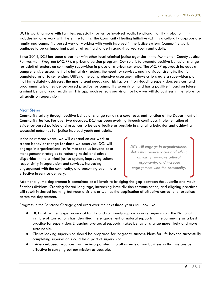DCJ is working more with families, especially for justice involved youth. Functional Family Probation (FFP) includes in-home work with the entire family. The Community Healing Initiative (CHI) is a culturally appropriate family and community based way of working with youth involved in the justice system. Community work continues to be an important part of effecting change in gang-involved youth and adults.

Since 2014, DCJ has been a partner with other local criminal justice agencies in the Multnomah County Justice Reinvestment Program (MCJRP), a prison diversion program. Our role is to promote positive behavior change for adult offenders on community supervision in place of a prison sentence. The MCJRP approach includes a comprehensive assessment of criminal risk factors, the need for services, and individual strengths that is completed prior to sentencing. Utilizing the comprehensive assessment allows us to create a supervision plan that immediately addresses the most urgent needs and risk factors. Front-loading supervision, services, and programming is an evidence-based practice for community supervision, and has a positive impact on future criminal behavior and recidivism. This approach reflects our vision for how we will do business in the future for all adults on supervision.

#### **Next Steps**

Community safety through positive behavior change remains a core focus and function of the Department of Community Justice. For over two decades, DCJ has been evolving through continuous implementation of evidence-based policies and practices to be as effective as possible in changing behavior and achieving successful outcomes for justice involved youth and adults.

In the next three years, we will expand on our work to create behavior change for those we supervise. DCJ will engage in organizational shifts that take us beyond case management strategies to reducing racial and ethnic disparities in the criminal justice system, improving cultural responsivity in supervision and services, increasing engagement with the community, and becoming even more effective in service delivery.

*DCJ will engage in organizational shifts that reduce racial and ethnic disparity, improve cultural responsivity, and increase engagement with the community.* 

Additionally, the department is committed at all levels to bridging the gap between the Juvenile and Adult Services divisions. Creating shared language, increasing inter-division communication, and aligning practices will result in shared learning between divisions as well as the application of effective correctional practices across the department.

Progress in the Behavior Change goal area over the next three years will look like:

- DCJ staff will engage pro-social family and community supports during supervision. The National Institute of Corrections has identified the engagement of natural supports in the community as a best practice for supervision. Engaging pro-social supports makes behavior change more likely and more sustainable.
- Clients leaving supervision should be prepared for long-term success. Plans for life beyond successfully completing supervision should be a part of supervision.
- Evidence-based practices must be incorporated into all aspects of our business so that we are as effective in carrying out our mission as possible.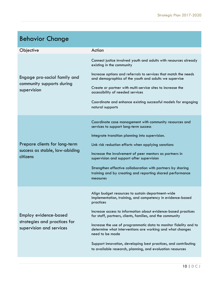| <b>Behavior Change</b>                                                            |                                                                                                                                                  |
|-----------------------------------------------------------------------------------|--------------------------------------------------------------------------------------------------------------------------------------------------|
| Objective                                                                         | Action                                                                                                                                           |
| Engage pro-social family and<br>community supports during<br>supervision          | Connect justice involved youth and adults with resources already<br>existing in the community                                                    |
|                                                                                   | Increase options and referrals to services that match the needs<br>and demographics of the youth and adults we supervise                         |
|                                                                                   | Create or partner with multi-service sites to increase the<br>accessibility of needed services                                                   |
|                                                                                   | Coordinate and enhance existing successful models for engaging<br>natural supports                                                               |
|                                                                                   | Coordinate case management with community resources and<br>services to support long-term success                                                 |
|                                                                                   | Integrate transition planning into supervision.                                                                                                  |
| Prepare clients for long-term                                                     | Link risk reduction efforts when applying sanctions                                                                                              |
| success as stable, law-abiding<br>citizens                                        | Increase the involvement of peer mentors as partners in<br>supervision and support after supervision                                             |
|                                                                                   | Strengthen effective collaboration with partners by sharing<br>training and by creating and reporting shared performance<br>measures             |
| Employ evidence-based<br>strategies and practices for<br>supervision and services | Align budget resources to sustain department-wide<br>implementation, training, and competency in evidence-based<br>practices                     |
|                                                                                   | Increase access to information about evidence-based practices<br>for staff, partners, clients, families, and the community                       |
|                                                                                   | Increase the use of programmatic data to monitor fidelity and to<br>determine what interventions are working and what changes<br>need to be made |
|                                                                                   | Support innovation, developing best practices, and contributing<br>to available research, planning, and evaluation resources                     |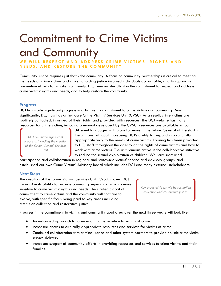# Commitment to Crime Victims and Community

WE WILL RESPECT AND ADDRESS CRIME VICTIMS' RIGHTS AND **N E E D S , A N D R E S T O R E T H E C O M M U N I T Y**

Community justice requires just that - the community. A focus on community partnerships is critical to meeting the needs of crime victims and citizens, holding justice involved individuals accountable, and to supporting prevention efforts for a safer community. DCJ remains steadfast in the commitment to respect and address crime victims' rights and needs, and to help restore the community.

#### **Progress**

DCJ has made significant progress in affirming its commitment to crime victims and community. Most significantly, DCJ now has an in-house Crime Victims' Services Unit (CVSU). As a result, crime victims are routinely contacted, informed of their rights, and provided with resources. The DCJ website has many resources for crime victims, including a manual developed by the CVSU. Resources are available in four

*DCJ has made significant progress, including the creation of the Crime Victims' Services Unit.*

different languages with plans for more in the future. Several of the staff in the unit are bilingual, increasing DCJ's ability to respond in a culturally appropriate way to the needs of crime victims. Training has been provided to DCJ staff throughout the agency on the rights of crime victims and how to work with crime victims. The unit remains active in the collaborative initiative to reduce the sexual exploitation of children. We have increased

participation and collaboration in regional and statewide victims' service and advisory groups, and established our own Crime Victims' Advisory Board which includes DCJ and many external stakeholders.

#### **Next Steps**

The creation of the Crime Victims' Services Unit (CVSU) moved DCJ forward in its ability to provide community supervision which is more sensitive to crime victims' rights and needs. The strategic goal of commitment to crime victims and the community will continue to evolve, with specific focus being paid to key areas including restitution collection and restorative justice.

*Key areas of focus will be restitution collection and restorative justice.*

Progress in the commitment to victims and community goal area over the next three years will look like:

- An enhanced approach to supervision that is sensitive to victims of crime.
- $\bullet$  Increased access to culturally appropriate resources and services for victims of crime.
- Continued collaboration with criminal justice and other system partners to provide holistic crime victim service delivery.
- Increased support of community efforts in providing resources and services to crime victims and their families.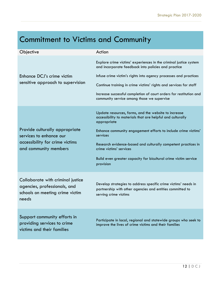### Commitment to Victims and Community

| Objective                                                                                                             | Action                                                                                                                                                                                                                                                                                                                                                                                      |
|-----------------------------------------------------------------------------------------------------------------------|---------------------------------------------------------------------------------------------------------------------------------------------------------------------------------------------------------------------------------------------------------------------------------------------------------------------------------------------------------------------------------------------|
| Enhance DCJ's crime victim<br>sensitive approach to supervision                                                       | Explore crime victims' experiences in the criminal justice system<br>and incorporate feedback into policies and practice<br>Infuse crime victim's rights into agency processes and practices<br>Continue training in crime victims' rights and services for staff<br>Increase successful completion of court orders for restitution and<br>community service among those we supervise       |
| Provide culturally appropriate<br>services to enhance our<br>accessibility for crime victims<br>and community members | Update resources, forms, and the website to increase<br>accessibility to materials that are helpful and culturally<br>appropriate<br>Enhance community engagement efforts to include crime victims'<br>services<br>Research evidence-based and culturally competent practices in<br>crime victims' services<br>Build even greater capacity for bicultural crime victim service<br>provision |
| Collaborate with criminal justice<br>agencies, professionals, and<br>schools on meeting crime victim<br>needs         | Develop strategies to address specific crime victims' needs in<br>partnership with other agencies and entities committed to<br>serving crime victims                                                                                                                                                                                                                                        |
| Support community efforts in<br>providing services to crime<br>victims and their families                             | Participate in local, regional and statewide groups who seek to<br>improve the lives of crime victims and their families                                                                                                                                                                                                                                                                    |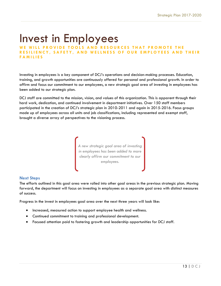# Invest in Employees

WE WILL PROVIDE TOOLS AND RESOURCES THAT PROMOTE THE **RESILIENCY, SAFETY, AND WELLNESS OF OUR EMPLOYEES AND THEIR F A M I L I E S**

Investing in employees is a key component of DCJ's operations and decision-making processes. Education, training, and growth opportunities are continuously offered for personal and professional growth. In order to affirm and focus our commitment to our employees, a new strategic goal area of investing in employees has been added to our strategic plan.

DCJ staff are committed to the mission, vision, and values of this organization. This is apparent through their hard work, dedication, and continued involvement in department initiatives. Over 150 staff members participated in the creation of DCJ's strategic plan in 2010-2011 and again in 2015-2016. Focus groups made up of employees across all units and job classifications, including represented and exempt staff, brought a diverse array of perspectives to the visioning process.



#### **Next Steps**

The efforts outlined in this goal area were rolled into other goal areas in the previous strategic plan. Moving forward, the department will focus on investing in employees as a separate goal area with distinct measures of success.

Progress in the invest in employees goal area over the next three years will look like:

- Increased, measured action to support employee health and wellness.
- Continued commitment to training and professional development.
- Focused attention paid to fostering growth and leadership opportunities for DCJ staff.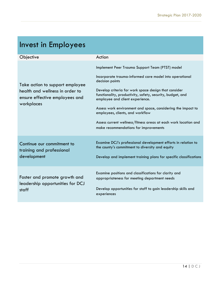### Invest in Employees

| Objective                                                                                                          | Action                                                                                                                                                                                                                                                                                                                                                                                                                                                                                                 |
|--------------------------------------------------------------------------------------------------------------------|--------------------------------------------------------------------------------------------------------------------------------------------------------------------------------------------------------------------------------------------------------------------------------------------------------------------------------------------------------------------------------------------------------------------------------------------------------------------------------------------------------|
| Take action to support employee<br>health and wellness in order to<br>ensure effective employees and<br>workplaces | Implement Peer Trauma Support Team (PTST) model<br>Incorporate trauma-informed care model into operational<br>decision points<br>Develop criteria for work space design that consider<br>functionality, productivity, safety, security, budget, and<br>employee and client experience.<br>Assess work environment and space, considering the impact to<br>employees, clients, and workflow<br>Assess current wellness/fitness areas at each work location and<br>make recommendations for improvements |
| Continue our commitment to<br>training and professional<br>development                                             | Examine DCJ's professional development efforts in relation to<br>the county's commitment to diversity and equity<br>Develop and implement training plans for specific classifications                                                                                                                                                                                                                                                                                                                  |
| Foster and promote growth and<br>leadership opportunities for DCJ<br>staff                                         | Examine positions and classifications for clarity and<br>appropriateness for meeting department needs<br>Develop opportunities for staff to gain leadership skills and<br>experiences                                                                                                                                                                                                                                                                                                                  |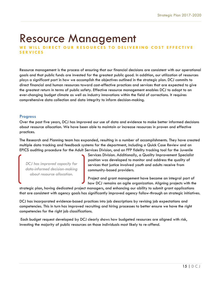# Resource Management

WE WILL DIRECT OUR RESOURCES TO DELIVERING COST EFFECTIVE **S E R V I C E S**

Resource management is the process of ensuring that our financial decisions are consistent with our operational goals and that public funds are invested for the greatest public good. In addition, our utilization of resources plays a significant part in how we accomplish the objectives outlined in the strategic plan. DCJ commits to direct financial and human resources toward cost-effective practices and services that are expected to give the greatest return in terms of public safety. Effective resource management enables DCJ to adapt to an ever-changing budget climate as well as industry innovations within the field of corrections. It requires comprehensive data collection and data integrity to inform decision-making.

#### **Progress**

Over the past five years, DCJ has improved our use of data and evidence to make better informed decisions about resource allocation. We have been able to maintain or increase resources in proven and effective practices.

The Research and Planning team has expanded, resulting in a number of accomplishments. They have created multiple data tracking and feedback systems for the department, including a Quick Case Review and an EPICS auditing procedure for the Adult Services Division, and an FFP fidelity tracking tool for the Juvenile

*DCJ has improved capacity for data-informed decision-making about resource allocation.*

Services Division. Additionally, a Quality Improvement Specialist position was developed to monitor and address the quality of services that justice involved youth and adults receive from community-based providers.

Project and grant management have become an integral part of how DCJ remains an agile organization. Aligning projects with the

strategic plan, having dedicated project managers, and enhancing our ability to submit grant applications that are consistent with agency goals has significantly improved agency follow-through on strategic initiatives.

DCJ has incorporated evidence-based practices into job descriptions by revising job expectations and competencies. This in turn has improved recruiting and hiring processes to better ensure we have the right competencies for the right job classifications.

Each budget request developed by DCJ clearly shows how budgeted resources are aligned with risk, investing the majority of public resources on those individuals most likely to re-offend.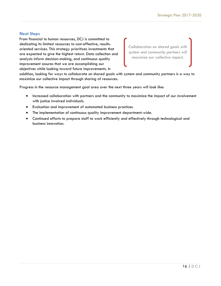#### **Next Steps**

From financial to human resources, DCJ is committed to dedicating its limited resources to cost-effective, resultsoriented services. This strategy prioritizes investments that are expected to give the highest return. Data collection and analysis inform decision-making, and continuous quality improvement assures that we are accomplishing our objectives while looking toward future improvements. In

*Collaboration on shared goals with system and community partners will maximize our collective impact.* 

addition, looking for ways to collaborate on shared goals with system and community partners is a way to maximize our collective impact through sharing of resources.

Progress in the resource management goal area over the next three years will look like:

- Increased collaboration with partners and the community to maximize the impact of our involvement with justice involved individuals.
- Evaluation and improvement of automated business practices.
- The implementation of continuous quality improvement department-wide.
- Continued efforts to prepare staff to work efficiently and effectively through technological and business innovation.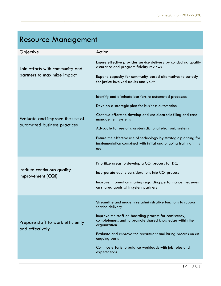## Resource Management

| Objective                                                       | Action                                                                                                                                                                                                                                                                                                                                                                                                                  |
|-----------------------------------------------------------------|-------------------------------------------------------------------------------------------------------------------------------------------------------------------------------------------------------------------------------------------------------------------------------------------------------------------------------------------------------------------------------------------------------------------------|
| Join efforts with community and<br>partners to maximize impact  | Ensure effective provider service delivery by conducting quality<br>assurance and program fidelity reviews<br>Expand capacity for community-based alternatives to custody<br>for justice involved adults and youth                                                                                                                                                                                                      |
| Evaluate and improve the use of<br>automated business practices | Identify and eliminate barriers to automated processes<br>Develop a strategic plan for business automation<br>Continue efforts to develop and use electronic filing and case<br>management systems<br>Advocate for use of cross-jurisdictional electronic systems<br>Ensure the effective use of technology by strategic planning for<br>implementation combined with initial and ongoing training in its<br><b>use</b> |
| Institute continuous quality<br>improvement (CQI)               | Prioritize areas to develop a CQI process for DCJ<br>Incorporate equity considerations into CQI process<br>Improve information sharing regarding performance measures<br>on shared goals with system partners                                                                                                                                                                                                           |
| Prepare staff to work efficiently<br>and effectively            | Streamline and modernize administrative functions to support<br>service delivery<br>Improve the staff on-boarding process for consistency,<br>completeness, and to promote shared knowledge within the<br>organization<br>Evaluate and improve the recruitment and hiring process on an<br>ongoing basis<br>Continue efforts to balance workloads with job roles and<br>expectations                                    |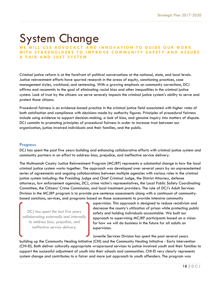# System Change

#### WE WILL USE ADVOCACY AND INNOVATION TO GUIDE OUR WORK WITH STAKEHOLDERS TO IMPROVE COMMUNITY SAFETY AND ASSURE **A F A I R A N D J U S T S Y S T E M**

Criminal justice reform is at the forefront of political conversations at the national, state, and local levels. Justice reinvestment efforts have spurred research in the areas of equity, sanctioning practices, case management styles, workload, and sentencing. With a growing emphasis on community corrections, DCJ affirms and recommits to the goal of eliminating racial bias and other inequalities in the criminal justice system. Lack of trust by the citizens we serve severely impacts the criminal justice system's ability to serve and protect those citizens.

Procedural fairness is an evidence-based practice in the criminal justice field associated with higher rates of both satisfaction and compliance with decisions made by authority figures. Principles of procedural fairness include using evidence to support decision-making, a lack of bias, and genuine inquiry into matters of dispute. DCJ commits to promoting principles of procedural fairness in order to increase trust between our organization, justice involved individuals and their families, and the public.

#### **Progress**

DCJ has spent the past five years building and enhancing collaborative efforts with criminal justice system and community partners in an effort to address bias, prejudice, and ineffective service delivery.

The Multnomah County Justice Reinvestment Program (MCJRP) represents a substantial change in how the local criminal justice system works together. The approach was developed over several years by an unprecedented series of agreements and ongoing collaborations between multiple agencies with various roles in the criminal justice system including: the Presiding Judge and Chief Criminal Judge, the District Attorney, defense attorneys, law enforcement agencies, DCJ, crime victim's representatives, the Local Public Safety Coordinating Committee, the Citizens' Crime Commission, and local treatment providers. The role of DCJ's Adult Services Division in the MCJRP program is to provide pre-sentence assessments along with a continuum of communitybased sanctions, services, and programs based on those assessments to provide intensive community

*DCJ has spent the last five years collaborating externally and internally to address bias, prejudice, and ineffective service delivery.*

supervision. This approach is designed to reduce recidivism and decrease the county's utilization of prison while protecting public safety and holding individuals accountable. We built our approach to supervising MCJRP participants based on a vision for how we will do business in the future for all adults on supervision.

Juvenile Services Division has spent the past several years building up the Community Healing Initiative (CHI) and the Community Healing Initiative - Early Intervention (CHI-EI). Both deliver culturally-appropriate wraparound services to justice involved youth and their families to support the successful adjustment of youth into their schools and communities. CHI-EI very clearly represents system change and contributes to a fairer and more just approach to youth offenders. The program was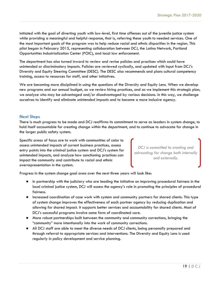initiated with the goal of diverting youth with low-level, first time offenses out of the juvenile justice system while providing a meaningful and helpful response, that is, referring these youth to needed services. One of the most important goals of the program was to help reduce racial and ethnic disparities in the region. This pilot began in February 2015, representing collaboration between DCJ, the Latino Network, Portland Opportunities Industrialization Center (POIC), and local law enforcement.

The department has also turned inward to review and revise policies and practices which could have unintended or discriminatory impacts. Policies are reviewed cyclically, and updated with input from DCJ's Diversity and Equity Steering Committee (DESC). The DESC also recommends and plans cultural competency training, access to resources for staff, and other initiatives.

We are becoming more disciplined in using the questions of the Diversity and Equity Lens. When we develop new programs and our annual budget, as we review hiring practices, and as we implement this strategic plan, we analyze who may be advantaged and/or disadvantaged by various decisions. In this way, we challenge ourselves to identify and eliminate unintended impacts and to become a more inclusive agency.

#### **Next Steps**

There is much progress to be made and DCJ reaffirms its commitment to serve as leaders in system change, to hold itself accountable for creating change within the department, and to continue to advocate for change in the larger public safety system.

Specific areas of focus are to work with communities of color to assess unintended impacts of current business practices, assess entry points into the criminal justice system and DCJ's system for unintended impacts, and analyze how sanctioning practices can impact the community and contribute to racial and ethnic overrepresentation in the system.

*DCJ is committed to creating and advocating for change both internally and externally.*

Progress in the system change goal area over the next three years will look like:

- In partnership with the judiciary who are leading the initiative on improving procedural fairness in the local criminal justice system, DCJ will assess the agency's role in promoting the principles of procedural fairness.
- Increased coordination of case work with system and community partners for shared clients: This type of system change improves the effectiveness of each partner agency by reducing duplication and allowing for shared impact. It supports better services and accountability for shared clients. Most of DCJ's successful programs involve some form of coordinated care.
- More robust partnerships built between the community and community corrections, bringing the "community" more intentionally into the work of community corrections.
- All DCJ staff are able to meet the diverse needs of DCJ clients, being personally prepared and through referral to appropriate services and interventions. The Diversity and Equity Lens is used regularly in policy development and service planning.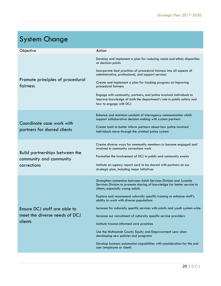### System Change

| Objective                                                                | Action                                                                                                                                                                            |
|--------------------------------------------------------------------------|-----------------------------------------------------------------------------------------------------------------------------------------------------------------------------------|
| Promote principles of procedural<br>fairness                             | Develop and implement a plan for reducing racial and ethnic disparities<br>at decision points                                                                                     |
|                                                                          | Incorporate best practices of procedural fairness into all aspects of<br>administrative, professional, and support services                                                       |
|                                                                          | Create and implement a plan for tracking progress on improving<br>procedural fairness                                                                                             |
|                                                                          | Engage with community, partners, and justice involved individuals to<br>improve knowledge of both the department's role in public safety and<br>how to engage with DCJ            |
| Coordinate case work with<br>partners for shared clients                 | Enhance and maintain conduits of interagency communication which<br>support collaborative decision making with system partners                                                    |
|                                                                          | Create tools to better inform partners about how justice involved<br>individuals move through the criminal justice system                                                         |
| Build partnerships between the<br>community and community<br>corrections | Create diverse ways for community members to become engaged and<br>involved in community corrections work                                                                         |
|                                                                          | Formalize the involvement of DCJ in public and community events                                                                                                                   |
|                                                                          | Institute an agency report card to be shared with partners on our<br>strategic plan, including major initiatives                                                                  |
| Ensure DCJ staff are able to<br>meet the diverse needs of DCJ<br>clients | Strengthen connection between Adult Services Division and Juvenile<br>Services Division to promote sharing of knowledge for better service to<br>clients, especially young adults |
|                                                                          | Explore and recommend culturally specific training to enhance staff's<br>ability to work with diverse populations                                                                 |
|                                                                          | Increase for culturally specific services with adults and youth system-wide                                                                                                       |
|                                                                          | Increase our recruitment of culturally specific service providers                                                                                                                 |
|                                                                          | Institute trauma-informed care practices                                                                                                                                          |
|                                                                          | Use the Multnomah County Equity and Empowerment Lens when<br>developing new policies and programs                                                                                 |
|                                                                          | Develop business automation capabilities with consideration for the end<br>user (employee or client)                                                                              |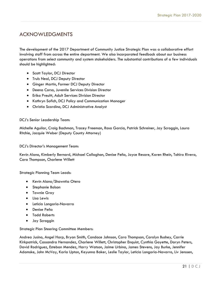#### ACKNOWLEDGMENTS

The development of the 2017 Department of Community Justice Strategic Plan was a collaborative effort involving staff from across the entire department. We also incorporated feedback about our business operations from select community and system stakeholders. The substantial contributions of a few individuals should be highlighted:

- **•** Scott Taylor, DCJ Director
- Truls Neal, DCJ Deputy Director
- Ginger Martin, Former DCJ Deputy Director
- Deena Corso, Juvenile Services Division Director
- Erika Preuitt, Adult Services Division Director
- Kathryn Sofich, DCJ Policy and Communication Manager
- Christia Scardino, DCJ Administrative Analyst

#### DCJ's Senior Leadership Team:

Michelle Aguilar, Craig Bachman, Tracey Freeman, Rosa Garcia, Patrick Schreiner, Jay Scroggin, Laura Ritchie, Jacquie Weber (Deputy County Attorney)

DCJ's Director's Management Team:

Kevin Alano, Kimberly Bernard, Michael Callaghan, Denise Peña, Joyce Resare, Karen Rhein, Tahira Rivera, Cara Thompson, Charlene Willett

Strategic Planning Team Leads:

- Kevin Alano/Shawntia Otero
- **•** Stephanie Bolson
- **•** Tawnie Gray
- Lisa Lewis
- Leticia Longoria-Navarro
- Denise Peña
- Todd Roberts
- Jay Scroggin

Strategic Plan Steering Committee Members:

Andrea Jusino, Angel Harp, Bryan Smith, Candace Johnson, Cara Thompson, Carolyn Bushey, Carrie Kirkpatrick, Cassandra Hernandez, Charlene Willett, Christopher Enquist, Cynthia Goyette, Daryn Peters, David Rodriguez, Esteban Mendez, Harry Watson, Jaime Urbina, James Stevens, Jay Burke, Jennifer Adamske, John McVay, Karla Upton, Keyunna Baker, Leslie Taylor, Leticia Longoria-Navarro, Liv Jenssen,